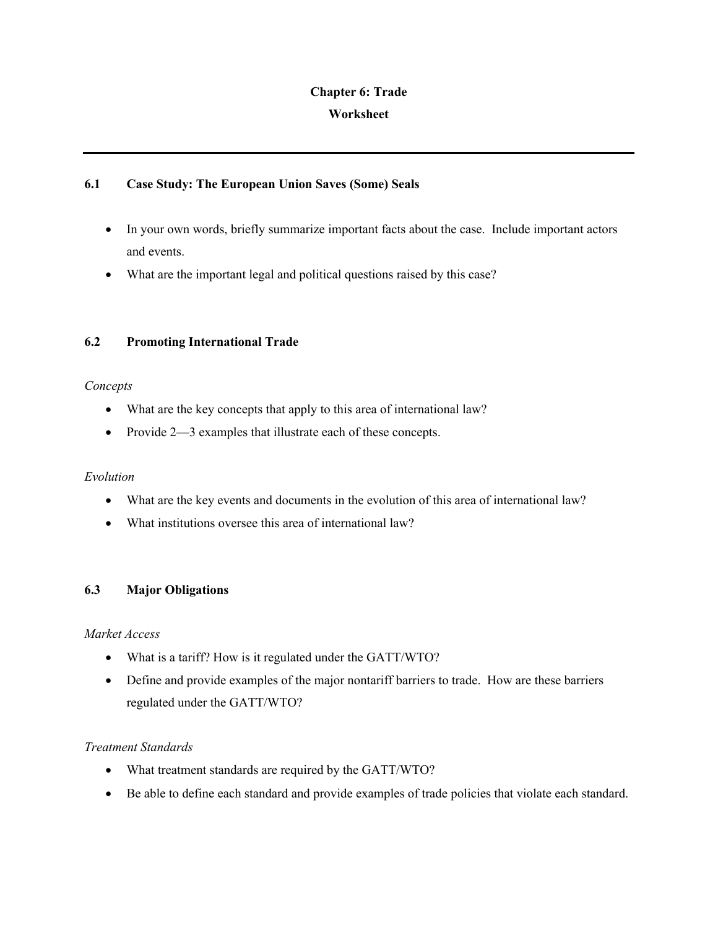# **Chapter 6: Trade Worksheet**

## **6.1 Case Study: The European Union Saves (Some) Seals**

- In your own words, briefly summarize important facts about the case. Include important actors and events.
- What are the important legal and political questions raised by this case?

# **6.2 Promoting International Trade**

## *Concepts*

- What are the key concepts that apply to this area of international law?
- Provide 2—3 examples that illustrate each of these concepts.

## *Evolution*

- What are the key events and documents in the evolution of this area of international law?
- What institutions oversee this area of international law?

## **6.3 Major Obligations**

## *Market Access*

- What is a tariff? How is it regulated under the GATT/WTO?
- Define and provide examples of the major nontariff barriers to trade. How are these barriers regulated under the GATT/WTO?

## *Treatment Standards*

- What treatment standards are required by the GATT/WTO?
- Be able to define each standard and provide examples of trade policies that violate each standard.